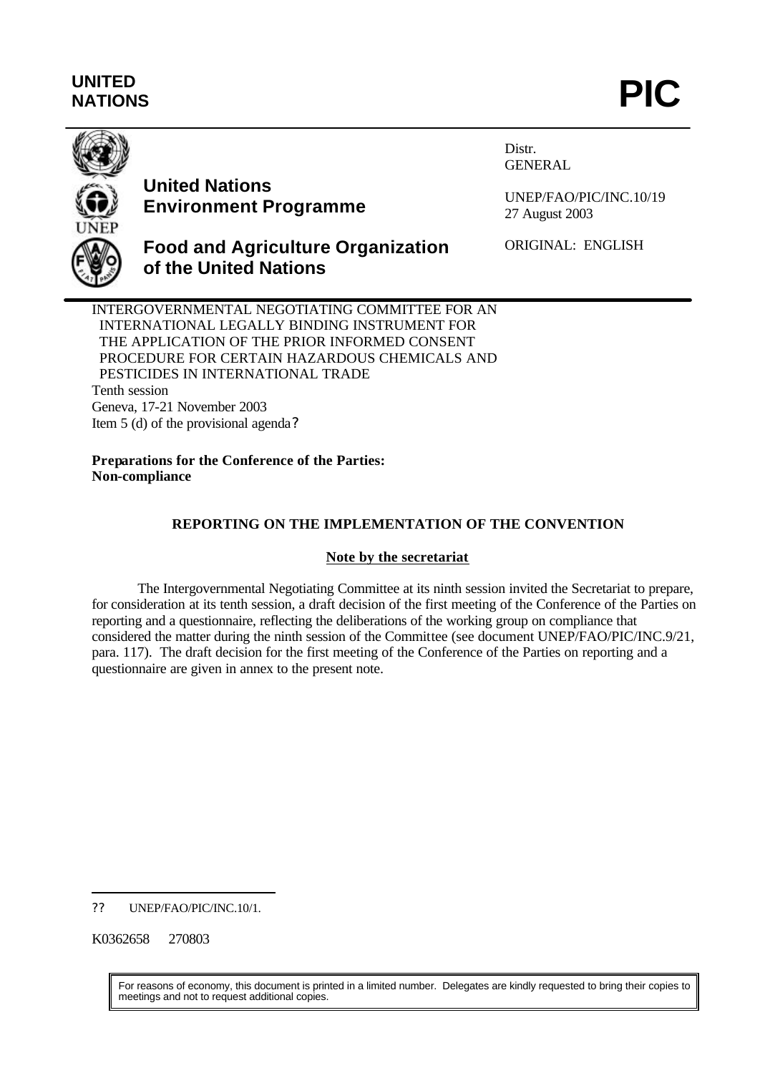## **UNITED** UNITED<br>NATIONS **PIC**



# **United Nations Environment Programme**

Distr. GENERAL

UNEP/FAO/PIC/INC.10/19 27 August 2003

### **Food and Agriculture Organization of the United Nations**

ORIGINAL: ENGLISH

INTERGOVERNMENTAL NEGOTIATING COMMITTEE FOR AN INTERNATIONAL LEGALLY BINDING INSTRUMENT FOR THE APPLICATION OF THE PRIOR INFORMED CONSENT PROCEDURE FOR CERTAIN HAZARDOUS CHEMICALS AND PESTICIDES IN INTERNATIONAL TRADE Tenth session Geneva, 17-21 November 2003 Item 5 (d) of the provisional agenda?

#### **Preparations for the Conference of the Parties: Non-compliance**

### **REPORTING ON THE IMPLEMENTATION OF THE CONVENTION**

#### **Note by the secretariat**

The Intergovernmental Negotiating Committee at its ninth session invited the Secretariat to prepare, for consideration at its tenth session, a draft decision of the first meeting of the Conference of the Parties on reporting and a questionnaire, reflecting the deliberations of the working group on compliance that considered the matter during the ninth session of the Committee (see document UNEP/FAO/PIC/INC.9/21, para. 117). The draft decision for the first meeting of the Conference of the Parties on reporting and a questionnaire are given in annex to the present note.

?? UNEP/FAO/PIC/INC.10/1.

K0362658 270803

l

For reasons of economy, this document is printed in a limited number. Delegates are kindly requested to bring their copies to meetings and not to request additional copies.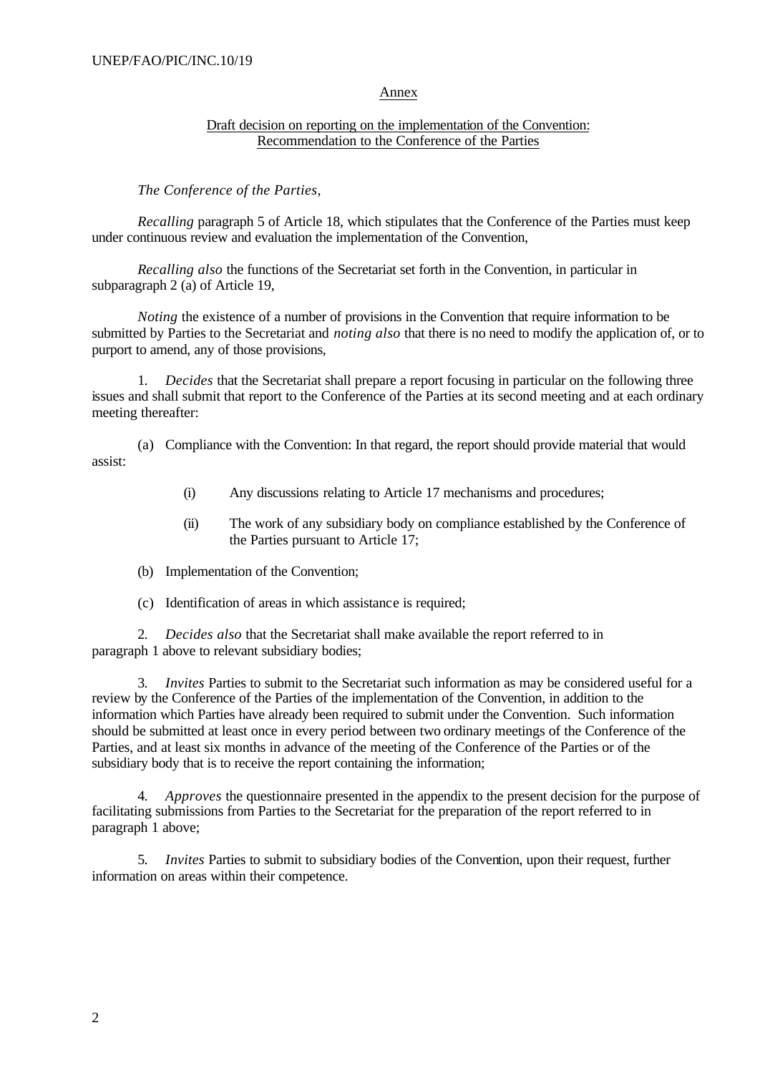#### Annex

#### Draft decision on reporting on the implementation of the Convention: Recommendation to the Conference of the Parties

#### *The Conference of the Parties,*

*Recalling* paragraph 5 of Article 18, which stipulates that the Conference of the Parties must keep under continuous review and evaluation the implementation of the Convention,

*Recalling also* the functions of the Secretariat set forth in the Convention, in particular in subparagraph 2 (a) of Article 19,

*Noting* the existence of a number of provisions in the Convention that require information to be submitted by Parties to the Secretariat and *noting also* that there is no need to modify the application of, or to purport to amend, any of those provisions,

1. *Decides* that the Secretariat shall prepare a report focusing in particular on the following three issues and shall submit that report to the Conference of the Parties at its second meeting and at each ordinary meeting thereafter:

(a) Compliance with the Convention: In that regard, the report should provide material that would assist:

- (i) Any discussions relating to Article 17 mechanisms and procedures;
- (ii) The work of any subsidiary body on compliance established by the Conference of the Parties pursuant to Article 17;
- (b) Implementation of the Convention;
- (c) Identification of areas in which assistance is required;

2. *Decides also* that the Secretariat shall make available the report referred to in paragraph 1 above to relevant subsidiary bodies;

*Invites* Parties to submit to the Secretariat such information as may be considered useful for a review by the Conference of the Parties of the implementation of the Convention, in addition to the information which Parties have already been required to submit under the Convention. Such information should be submitted at least once in every period between two ordinary meetings of the Conference of the Parties, and at least six months in advance of the meeting of the Conference of the Parties or of the subsidiary body that is to receive the report containing the information;

4. *Approves* the questionnaire presented in the appendix to the present decision for the purpose of facilitating submissions from Parties to the Secretariat for the preparation of the report referred to in paragraph 1 above;

5. *Invites* Parties to submit to subsidiary bodies of the Convention, upon their request, further information on areas within their competence.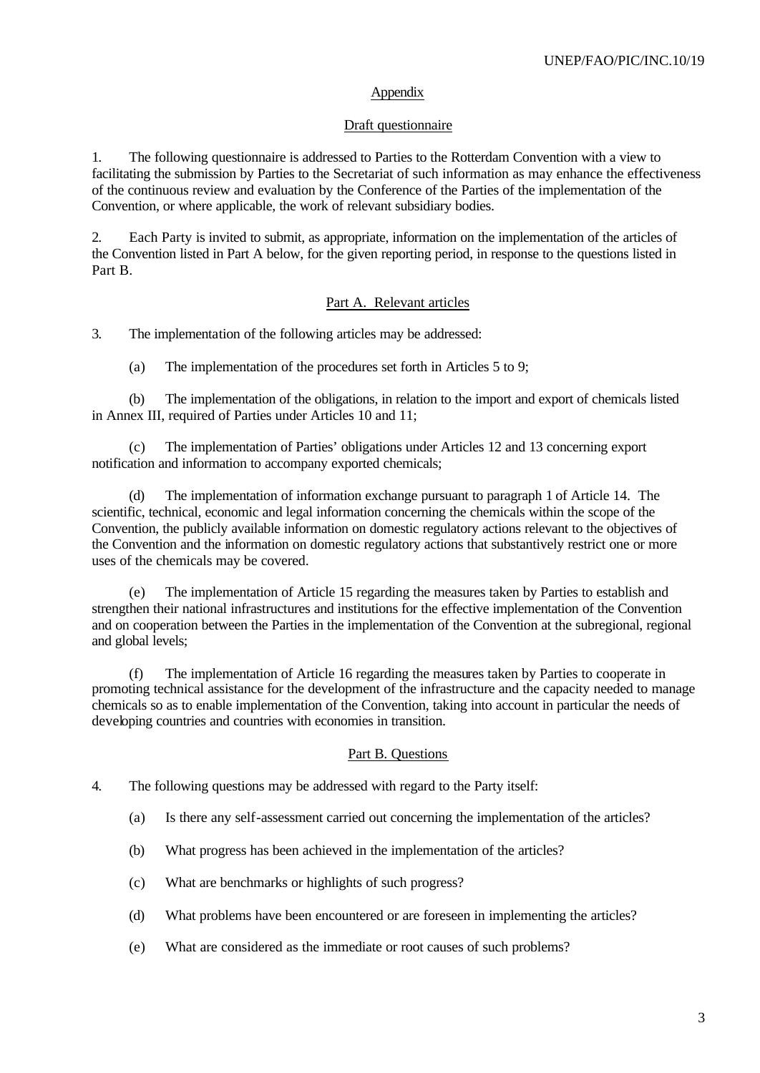#### Appendix

#### Draft questionnaire

1. The following questionnaire is addressed to Parties to the Rotterdam Convention with a view to facilitating the submission by Parties to the Secretariat of such information as may enhance the effectiveness of the continuous review and evaluation by the Conference of the Parties of the implementation of the Convention, or where applicable, the work of relevant subsidiary bodies.

2. Each Party is invited to submit, as appropriate, information on the implementation of the articles of the Convention listed in Part A below, for the given reporting period, in response to the questions listed in Part B.

#### Part A. Relevant articles

3. The implementation of the following articles may be addressed:

(a) The implementation of the procedures set forth in Articles 5 to 9;

(b) The implementation of the obligations, in relation to the import and export of chemicals listed in Annex III, required of Parties under Articles 10 and 11;

(c) The implementation of Parties' obligations under Articles 12 and 13 concerning export notification and information to accompany exported chemicals;

(d) The implementation of information exchange pursuant to paragraph 1 of Article 14. The scientific, technical, economic and legal information concerning the chemicals within the scope of the Convention, the publicly available information on domestic regulatory actions relevant to the objectives of the Convention and the information on domestic regulatory actions that substantively restrict one or more uses of the chemicals may be covered.

(e) The implementation of Article 15 regarding the measures taken by Parties to establish and strengthen their national infrastructures and institutions for the effective implementation of the Convention and on cooperation between the Parties in the implementation of the Convention at the subregional, regional and global levels;

(f) The implementation of Article 16 regarding the measures taken by Parties to cooperate in promoting technical assistance for the development of the infrastructure and the capacity needed to manage chemicals so as to enable implementation of the Convention, taking into account in particular the needs of developing countries and countries with economies in transition.

#### Part B. Questions

4. The following questions may be addressed with regard to the Party itself:

- (a) Is there any self-assessment carried out concerning the implementation of the articles?
- (b) What progress has been achieved in the implementation of the articles?
- (c) What are benchmarks or highlights of such progress?
- (d) What problems have been encountered or are foreseen in implementing the articles?
- (e) What are considered as the immediate or root causes of such problems?